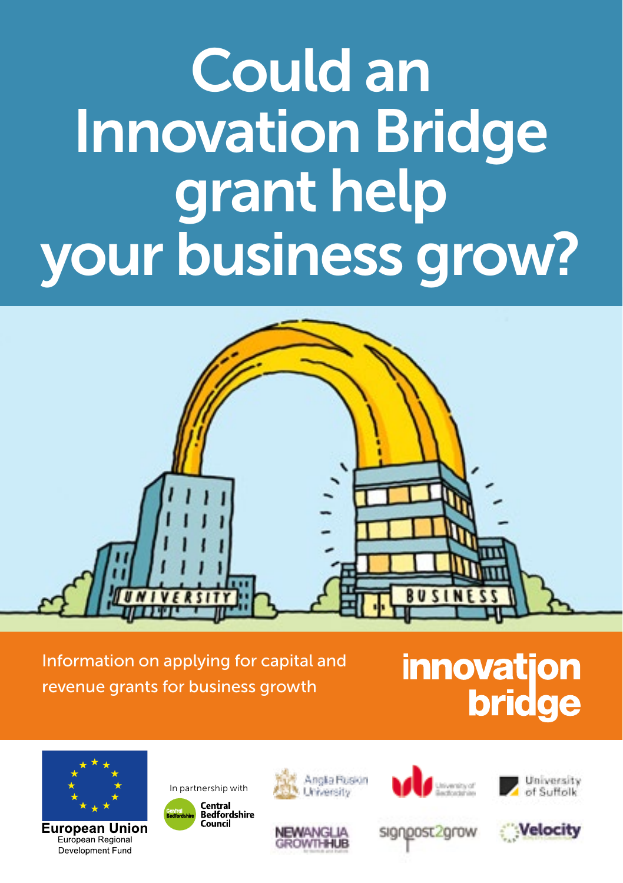# Could an Innovation Bridge grant help your business grow?

Information on applying for capital and revenue grants for business growth

# **innovation bridge**



**European Union** European Regional Development Fund









signoost2grow



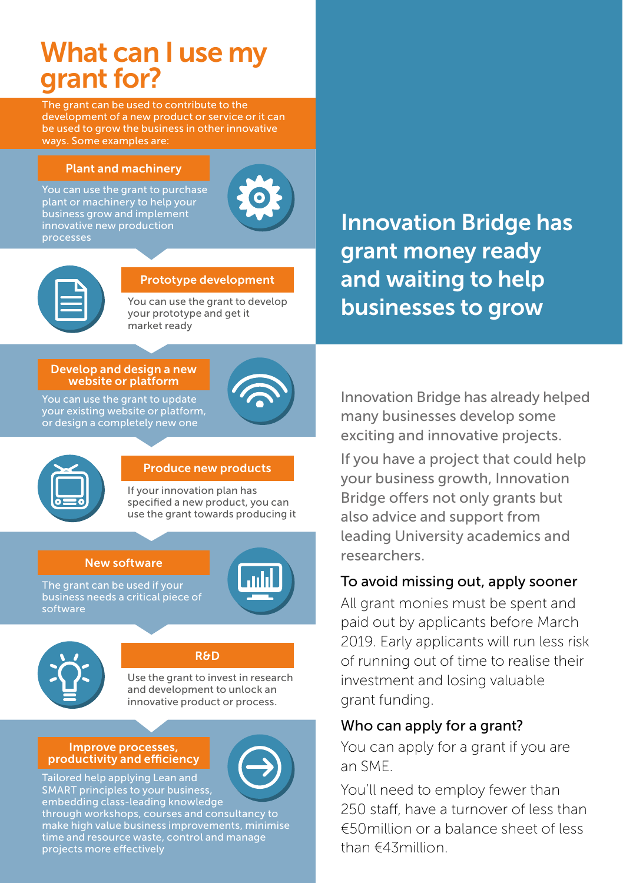# What can I use my grant for?

The grant can be used to contribute to the development of a new product or service or it can be used to grow the business in other innovative ways. Some examples are:

#### Plant and machinery

You can use the grant to purchase plant or machinery to help your business grow and implement innovative new production processes



| <b>Contract Contract Contract Contract Contract Contract Contract Contract Contract Contract Contract Contract Co</b> |
|-----------------------------------------------------------------------------------------------------------------------|

#### Prototype development

You can use the grant to develop your prototype and get it market ready

#### Develop and design a new website or platform

You can use the grant to update your existing website or platform, or design a completely new one





#### Produce new products

If your innovation plan has specified a new product, you can use the grant towards producing it

#### New software

The grant can be used if your business needs a critical piece of software





#### R&D

Use the grant to invest in research and development to unlock an innovative product or process.

#### Improve processes, productivity and efficiency



embedding class-leading knowledge through workshops, courses and consultancy to

make high value business improvements, minimise time and resource waste, control and manage projects more effectively

Innovation Bridge has grant money ready and waiting to help businesses to grow

Innovation Bridge has already helped many businesses develop some exciting and innovative projects.

If you have a project that could help your business growth, Innovation Bridge offers not only grants but also advice and support from leading University academics and researchers.

## To avoid missing out, apply sooner

All grant monies must be spent and paid out by applicants before March 2019. Early applicants will run less risk of running out of time to realise their investment and losing valuable grant funding.

### Who can apply for a grant?

You can apply for a grant if you are an SME.

You'll need to employ fewer than 250 staff, have a turnover of less than €50million or a balance sheet of less than €43million.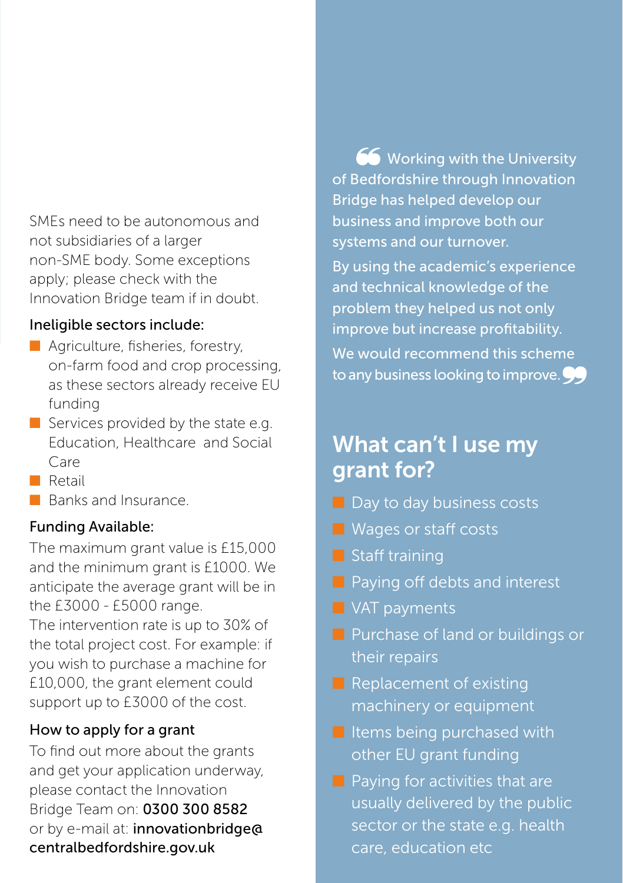SMEs need to be autonomous and not subsidiaries of a larger non-SME body. Some exceptions apply; please check with the Innovation Bridge team if in doubt.

## Ineligible sectors include:

- Agriculture, fisheries, forestry, on-farm food and crop processing, as these sectors already receive EU funding
- Services provided by the state e.g. Education, Healthcare and Social Care
- Retail
- Banks and Insurance

## Funding Available:

The maximum grant value is £15,000 and the minimum grant is £1000. We anticipate the average grant will be in the £3000 - £5000 range.

The intervention rate is up to 30% of the total project cost. For example: if you wish to purchase a machine for £10,000, the grant element could support up to £3000 of the cost.

# How to apply for a grant

To find out more about the grants and get your application underway, please contact the Innovation Bridge Team on: 0300 300 8582 or by e-mail at: innovationbridge@ centralbedfordshire.gov.uk

66 Working with the University of Bedfordshire through Innovation Bridge has helped develop our business and improve both our systems and our turnover.

By using the academic's experience and technical knowledge of the problem they helped us not only improve but increase profitability. We would recommend this scheme to any business looking to improve.

# What can't I use my grant for?

- Day to day business costs
- Wages or staff costs
- Staff training
- Paying off debts and interest
- VAT payments
- Purchase of land or buildings or their repairs
- Replacement of existing machinery or equipment
- Items being purchased with other EU grant funding
- Paying for activities that are usually delivered by the public sector or the state e.g. health care, education etc